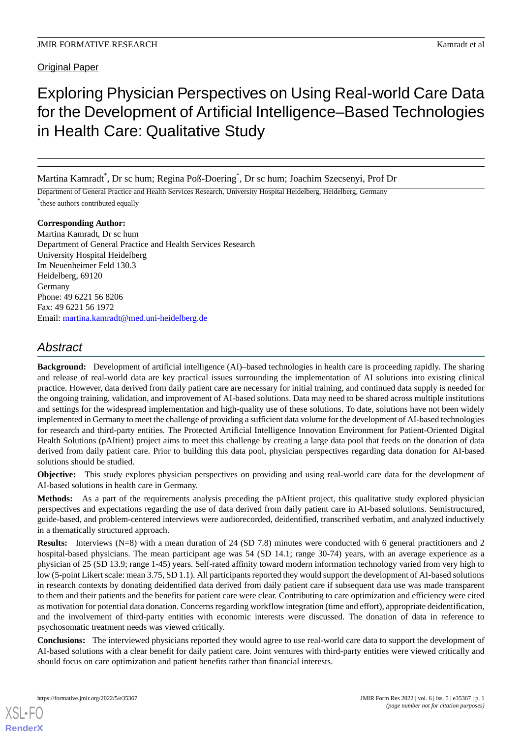Original Paper

# Exploring Physician Perspectives on Using Real-world Care Data for the Development of Artificial Intelligence–Based Technologies in Health Care: Qualitative Study

Martina Kamradt\* , Dr sc hum; Regina Poß-Doering\* , Dr sc hum; Joachim Szecsenyi, Prof Dr

Department of General Practice and Health Services Research, University Hospital Heidelberg, Heidelberg, Germany \* these authors contributed equally

**Corresponding Author:** Martina Kamradt, Dr sc hum Department of General Practice and Health Services Research University Hospital Heidelberg Im Neuenheimer Feld 130.3 Heidelberg, 69120 Germany Phone: 49 6221 56 8206 Fax: 49 6221 56 1972 Email: [martina.kamradt@med.uni-heidelberg.de](mailto:martina.kamradt@med.uni-heidelberg.de)

# *Abstract*

**Background:** Development of artificial intelligence (AI)–based technologies in health care is proceeding rapidly. The sharing and release of real-world data are key practical issues surrounding the implementation of AI solutions into existing clinical practice. However, data derived from daily patient care are necessary for initial training, and continued data supply is needed for the ongoing training, validation, and improvement of AI-based solutions. Data may need to be shared across multiple institutions and settings for the widespread implementation and high-quality use of these solutions. To date, solutions have not been widely implemented in Germany to meet the challenge of providing a sufficient data volume for the development of AI-based technologies for research and third-party entities. The Protected Artificial Intelligence Innovation Environment for Patient-Oriented Digital Health Solutions (pAItient) project aims to meet this challenge by creating a large data pool that feeds on the donation of data derived from daily patient care. Prior to building this data pool, physician perspectives regarding data donation for AI-based solutions should be studied.

**Objective:** This study explores physician perspectives on providing and using real-world care data for the development of AI-based solutions in health care in Germany.

**Methods:** As a part of the requirements analysis preceding the pAItient project, this qualitative study explored physician perspectives and expectations regarding the use of data derived from daily patient care in AI-based solutions. Semistructured, guide-based, and problem-centered interviews were audiorecorded, deidentified, transcribed verbatim, and analyzed inductively in a thematically structured approach.

**Results:** Interviews (N=8) with a mean duration of 24 (SD 7.8) minutes were conducted with 6 general practitioners and 2 hospital-based physicians. The mean participant age was 54 (SD 14.1; range 30-74) years, with an average experience as a physician of 25 (SD 13.9; range 1-45) years. Self-rated affinity toward modern information technology varied from very high to low (5-point Likert scale: mean 3.75, SD 1.1). All participants reported they would support the development of AI-based solutions in research contexts by donating deidentified data derived from daily patient care if subsequent data use was made transparent to them and their patients and the benefits for patient care were clear. Contributing to care optimization and efficiency were cited as motivation for potential data donation. Concerns regarding workflow integration (time and effort), appropriate deidentification, and the involvement of third-party entities with economic interests were discussed. The donation of data in reference to psychosomatic treatment needs was viewed critically.

**Conclusions:** The interviewed physicians reported they would agree to use real-world care data to support the development of AI-based solutions with a clear benefit for daily patient care. Joint ventures with third-party entities were viewed critically and should focus on care optimization and patient benefits rather than financial interests.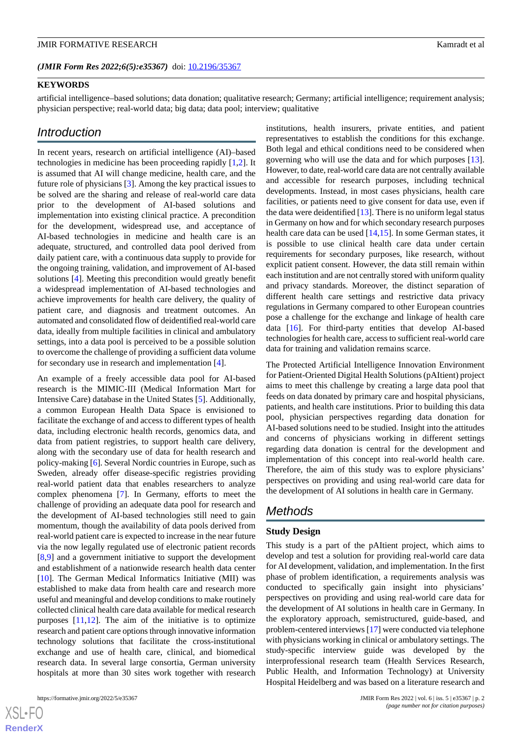*(JMIR Form Res 2022;6(5):e35367)* doi: [10.2196/35367](http://dx.doi.org/10.2196/35367)

#### **KEYWORDS**

artificial intelligence–based solutions; data donation; qualitative research; Germany; artificial intelligence; requirement analysis; physician perspective; real-world data; big data; data pool; interview; qualitative

# *Introduction*

In recent years, research on artificial intelligence (AI)–based technologies in medicine has been proceeding rapidly [\[1,](#page-6-0)[2](#page-6-1)]. It is assumed that AI will change medicine, health care, and the future role of physicians [[3\]](#page-6-2). Among the key practical issues to be solved are the sharing and release of real-world care data prior to the development of AI-based solutions and implementation into existing clinical practice. A precondition for the development, widespread use, and acceptance of AI-based technologies in medicine and health care is an adequate, structured, and controlled data pool derived from daily patient care, with a continuous data supply to provide for the ongoing training, validation, and improvement of AI-based solutions [[4\]](#page-6-3). Meeting this precondition would greatly benefit a widespread implementation of AI-based technologies and achieve improvements for health care delivery, the quality of patient care, and diagnosis and treatment outcomes. An automated and consolidated flow of deidentified real-world care data, ideally from multiple facilities in clinical and ambulatory settings, into a data pool is perceived to be a possible solution to overcome the challenge of providing a sufficient data volume for secondary use in research and implementation [\[4](#page-6-3)].

An example of a freely accessible data pool for AI-based research is the MIMIC-III (Medical Information Mart for Intensive Care) database in the United States [\[5](#page-6-4)]. Additionally, a common European Health Data Space is envisioned to facilitate the exchange of and access to different types of health data, including electronic health records, genomics data, and data from patient registries, to support health care delivery, along with the secondary use of data for health research and policy-making [\[6](#page-6-5)]. Several Nordic countries in Europe, such as Sweden, already offer disease-specific registries providing real-world patient data that enables researchers to analyze complex phenomena [[7\]](#page-6-6). In Germany, efforts to meet the challenge of providing an adequate data pool for research and the development of AI-based technologies still need to gain momentum, though the availability of data pools derived from real-world patient care is expected to increase in the near future via the now legally regulated use of electronic patient records [[8](#page-6-7)[,9](#page-7-0)] and a government initiative to support the development and establishment of a nationwide research health data center [[10\]](#page-7-1). The German Medical Informatics Initiative (MII) was established to make data from health care and research more useful and meaningful and develop conditions to make routinely collected clinical health care data available for medical research purposes [\[11](#page-7-2)[,12](#page-7-3)]. The aim of the initiative is to optimize research and patient care options through innovative information technology solutions that facilitate the cross-institutional exchange and use of health care, clinical, and biomedical research data. In several large consortia, German university hospitals at more than 30 sites work together with research

institutions, health insurers, private entities, and patient representatives to establish the conditions for this exchange. Both legal and ethical conditions need to be considered when governing who will use the data and for which purposes [[13\]](#page-7-4). However, to date, real-world care data are not centrally available and accessible for research purposes, including technical developments. Instead, in most cases physicians, health care facilities, or patients need to give consent for data use, even if the data were deidentified  $[13]$  $[13]$ . There is no uniform legal status in Germany on how and for which secondary research purposes health care data can be used [[14,](#page-7-5)[15](#page-7-6)]. In some German states, it is possible to use clinical health care data under certain requirements for secondary purposes, like research, without explicit patient consent. However, the data still remain within each institution and are not centrally stored with uniform quality and privacy standards. Moreover, the distinct separation of different health care settings and restrictive data privacy regulations in Germany compared to other European countries pose a challenge for the exchange and linkage of health care data [\[16](#page-7-7)]. For third-party entities that develop AI-based technologies for health care, access to sufficient real-world care data for training and validation remains scarce.

The Protected Artificial Intelligence Innovation Environment for Patient-Oriented Digital Health Solutions (pAItient) project aims to meet this challenge by creating a large data pool that feeds on data donated by primary care and hospital physicians, patients, and health care institutions. Prior to building this data pool, physician perspectives regarding data donation for AI-based solutions need to be studied. Insight into the attitudes and concerns of physicians working in different settings regarding data donation is central for the development and implementation of this concept into real-world health care. Therefore, the aim of this study was to explore physicians' perspectives on providing and using real-world care data for the development of AI solutions in health care in Germany.

# *Methods*

#### **Study Design**

This study is a part of the pAItient project, which aims to develop and test a solution for providing real-world care data for AI development, validation, and implementation. In the first phase of problem identification, a requirements analysis was conducted to specifically gain insight into physicians' perspectives on providing and using real-world care data for the development of AI solutions in health care in Germany. In the exploratory approach, semistructured, guide-based, and problem-centered interviews [\[17](#page-7-8)] were conducted via telephone with physicians working in clinical or ambulatory settings. The study-specific interview guide was developed by the interprofessional research team (Health Services Research, Public Health, and Information Technology) at University Hospital Heidelberg and was based on a literature research and

 $XSI - F($ **[RenderX](http://www.renderx.com/)**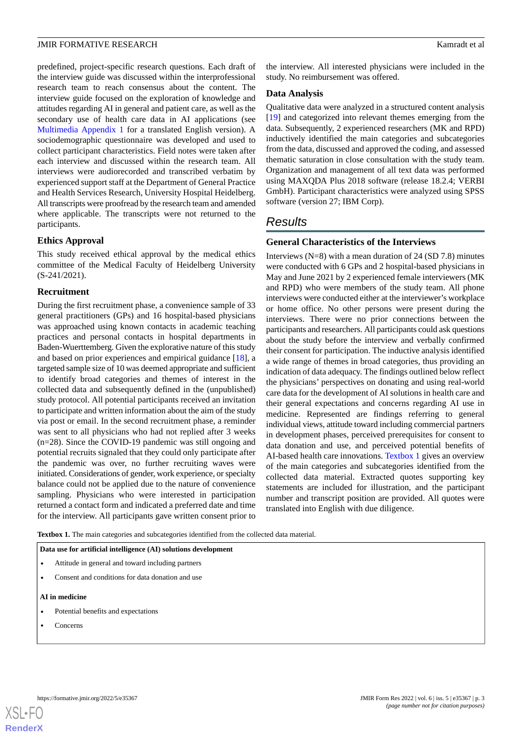predefined, project-specific research questions. Each draft of the interview guide was discussed within the interprofessional research team to reach consensus about the content. The interview guide focused on the exploration of knowledge and attitudes regarding AI in general and patient care, as well as the secondary use of health care data in AI applications (see [Multimedia Appendix 1](#page-6-8) for a translated English version). A sociodemographic questionnaire was developed and used to collect participant characteristics. Field notes were taken after each interview and discussed within the research team. All interviews were audiorecorded and transcribed verbatim by experienced support staff at the Department of General Practice and Health Services Research, University Hospital Heidelberg. All transcripts were proofread by the research team and amended where applicable. The transcripts were not returned to the participants.

#### **Ethics Approval**

This study received ethical approval by the medical ethics committee of the Medical Faculty of Heidelberg University (S-241/2021).

#### **Recruitment**

During the first recruitment phase, a convenience sample of 33 general practitioners (GPs) and 16 hospital-based physicians was approached using known contacts in academic teaching practices and personal contacts in hospital departments in Baden-Wuerttemberg. Given the explorative nature of this study and based on prior experiences and empirical guidance [[18\]](#page-7-9), a targeted sample size of 10 was deemed appropriate and sufficient to identify broad categories and themes of interest in the collected data and subsequently defined in the (unpublished) study protocol. All potential participants received an invitation to participate and written information about the aim of the study via post or email. In the second recruitment phase, a reminder was sent to all physicians who had not replied after 3 weeks (n=28). Since the COVID-19 pandemic was still ongoing and potential recruits signaled that they could only participate after the pandemic was over, no further recruiting waves were initiated. Considerations of gender, work experience, or specialty balance could not be applied due to the nature of convenience sampling. Physicians who were interested in participation returned a contact form and indicated a preferred date and time for the interview. All participants gave written consent prior to

the interview. All interested physicians were included in the study. No reimbursement was offered.

#### **Data Analysis**

Qualitative data were analyzed in a structured content analysis [[19\]](#page-7-10) and categorized into relevant themes emerging from the data. Subsequently, 2 experienced researchers (MK and RPD) inductively identified the main categories and subcategories from the data, discussed and approved the coding, and assessed thematic saturation in close consultation with the study team. Organization and management of all text data was performed using MAXQDA Plus 2018 software (release 18.2.4; VERBI GmbH). Participant characteristics were analyzed using SPSS software (version 27; IBM Corp).

# *Results*

#### **General Characteristics of the Interviews**

Interviews  $(N=8)$  with a mean duration of 24 (SD 7.8) minutes were conducted with 6 GPs and 2 hospital-based physicians in May and June 2021 by 2 experienced female interviewers (MK and RPD) who were members of the study team. All phone interviews were conducted either at the interviewer's workplace or home office. No other persons were present during the interviews. There were no prior connections between the participants and researchers. All participants could ask questions about the study before the interview and verbally confirmed their consent for participation. The inductive analysis identified a wide range of themes in broad categories, thus providing an indication of data adequacy. The findings outlined below reflect the physicians' perspectives on donating and using real-world care data for the development of AI solutions in health care and their general expectations and concerns regarding AI use in medicine. Represented are findings referring to general individual views, attitude toward including commercial partners in development phases, perceived prerequisites for consent to data donation and use, and perceived potential benefits of AI-based health care innovations. [Textbox 1](#page-2-0) gives an overview of the main categories and subcategories identified from the collected data material. Extracted quotes supporting key statements are included for illustration, and the participant number and transcript position are provided. All quotes were translated into English with due diligence.

<span id="page-2-0"></span>Textbox 1. The main categories and subcategories identified from the collected data material.

#### **Data use for artificial intelligence (AI) solutions development**

- Attitude in general and toward including partners
- Consent and conditions for data donation and use

#### **AI in medicine**

- Potential benefits and expectations
- Concerns

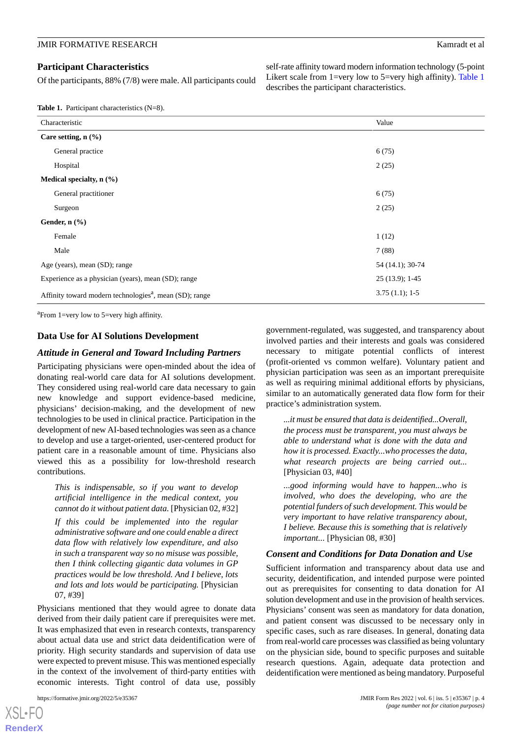Of the participants, 88% (7/8) were male. All participants could

self-rate affinity toward modern information technology (5-point Likert scale from 1=very low to 5=very high affinity). [Table 1](#page-3-0) describes the participant characteristics.

<span id="page-3-0"></span>**Table 1.** Participant characteristics (N=8).

| Characteristic                                                      | Value            |
|---------------------------------------------------------------------|------------------|
| Care setting, $n$ (%)                                               |                  |
| General practice                                                    | 6(75)            |
| Hospital                                                            | 2(25)            |
| Medical specialty, n (%)                                            |                  |
| General practitioner                                                | 6(75)            |
| Surgeon                                                             | 2(25)            |
| Gender, $n$ $(\frac{9}{6})$                                         |                  |
| Female                                                              | 1(12)            |
| Male                                                                | 7(88)            |
| Age (years), mean (SD); range                                       | 54 (14.1); 30-74 |
| Experience as a physician (years), mean (SD); range                 | 25 (13.9); 1-45  |
| Affinity toward modern technologies <sup>a</sup> , mean (SD); range | $3.75(1.1); 1-5$ |

<sup>a</sup> From 1=very low to 5=very high affinity.

#### **Data Use for AI Solutions Development**

#### *Attitude in General and Toward Including Partners*

Participating physicians were open-minded about the idea of donating real-world care data for AI solutions development. They considered using real-world care data necessary to gain new knowledge and support evidence-based medicine, physicians' decision-making, and the development of new technologies to be used in clinical practice. Participation in the development of new AI-based technologies was seen as a chance to develop and use a target-oriented, user-centered product for patient care in a reasonable amount of time. Physicians also viewed this as a possibility for low-threshold research contributions.

*This is indispensable, so if you want to develop artificial intelligence in the medical context, you cannot do it without patient data.* [Physician 02, #32]

*If this could be implemented into the regular administrative software and one could enable a direct data flow with relatively low expenditure, and also in such a transparent way so no misuse was possible, then I think collecting gigantic data volumes in GP practices would be low threshold. And I believe, lots and lots and lots would be participating.* [Physician 07, #39]

Physicians mentioned that they would agree to donate data derived from their daily patient care if prerequisites were met. It was emphasized that even in research contexts, transparency about actual data use and strict data deidentification were of priority. High security standards and supervision of data use were expected to prevent misuse. This was mentioned especially in the context of the involvement of third-party entities with economic interests. Tight control of data use, possibly

government-regulated, was suggested, and transparency about involved parties and their interests and goals was considered necessary to mitigate potential conflicts of interest (profit-oriented vs common welfare). Voluntary patient and physician participation was seen as an important prerequisite as well as requiring minimal additional efforts by physicians, similar to an automatically generated data flow form for their practice's administration system.

*...it must be ensured that data is deidentified...Overall, the process must be transparent, you must always be able to understand what is done with the data and how it is processed. Exactly...who processes the data, what research projects are being carried out...* [Physician 03, #40]

*...good informing would have to happen...who is involved, who does the developing, who are the potential funders of such development. This would be very important to have relative transparency about, I believe. Because this is something that is relatively important...* [Physician 08, #30]

#### *Consent and Conditions for Data Donation and Use*

Sufficient information and transparency about data use and security, deidentification, and intended purpose were pointed out as prerequisites for consenting to data donation for AI solution development and use in the provision of health services. Physicians' consent was seen as mandatory for data donation, and patient consent was discussed to be necessary only in specific cases, such as rare diseases. In general, donating data from real-world care processes was classified as being voluntary on the physician side, bound to specific purposes and suitable research questions. Again, adequate data protection and deidentification were mentioned as being mandatory. Purposeful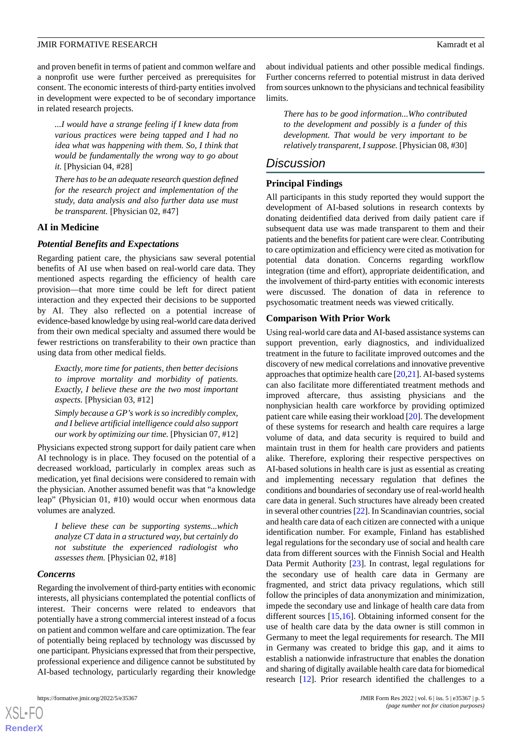and proven benefit in terms of patient and common welfare and a nonprofit use were further perceived as prerequisites for consent. The economic interests of third-party entities involved in development were expected to be of secondary importance in related research projects.

*...I would have a strange feeling if I knew data from various practices were being tapped and I had no idea what was happening with them. So, I think that would be fundamentally the wrong way to go about it.* [Physician 04, #28]

*There has to be an adequate research question defined for the research project and implementation of the study, data analysis and also further data use must be transparent.* [Physician 02, #47]

#### **AI in Medicine**

#### *Potential Benefits and Expectations*

Regarding patient care, the physicians saw several potential benefits of AI use when based on real-world care data. They mentioned aspects regarding the efficiency of health care provision—that more time could be left for direct patient interaction and they expected their decisions to be supported by AI. They also reflected on a potential increase of evidence-based knowledge by using real-world care data derived from their own medical specialty and assumed there would be fewer restrictions on transferability to their own practice than using data from other medical fields.

*Exactly, more time for patients, then better decisions to improve mortality and morbidity of patients. Exactly, I believe these are the two most important aspects.* [Physician 03, #12]

*Simply because a GP's work is so incredibly complex, and I believe artificial intelligence could also support our work by optimizing our time.* [Physician 07, #12]

Physicians expected strong support for daily patient care when AI technology is in place. They focused on the potential of a decreased workload, particularly in complex areas such as medication, yet final decisions were considered to remain with the physician. Another assumed benefit was that "a knowledge leap" (Physician 01, #10) would occur when enormous data volumes are analyzed.

*I believe these can be supporting systems...which analyze CT data in a structured way, but certainly do not substitute the experienced radiologist who assesses them.* [Physician 02, #18]

#### *Concerns*

Regarding the involvement of third-party entities with economic interests, all physicians contemplated the potential conflicts of interest. Their concerns were related to endeavors that potentially have a strong commercial interest instead of a focus on patient and common welfare and care optimization. The fear of potentially being replaced by technology was discussed by one participant. Physicians expressed that from their perspective, professional experience and diligence cannot be substituted by AI-based technology, particularly regarding their knowledge

about individual patients and other possible medical findings. Further concerns referred to potential mistrust in data derived from sources unknown to the physicians and technical feasibility limits.

*There has to be good information...Who contributed to the development and possibly is a funder of this development. That would be very important to be relatively transparent, I suppose.* [Physician 08, #30]

### *Discussion*

#### **Principal Findings**

All participants in this study reported they would support the development of AI-based solutions in research contexts by donating deidentified data derived from daily patient care if subsequent data use was made transparent to them and their patients and the benefits for patient care were clear. Contributing to care optimization and efficiency were cited as motivation for potential data donation. Concerns regarding workflow integration (time and effort), appropriate deidentification, and the involvement of third-party entities with economic interests were discussed. The donation of data in reference to psychosomatic treatment needs was viewed critically.

#### **Comparison With Prior Work**

Using real-world care data and AI-based assistance systems can support prevention, early diagnostics, and individualized treatment in the future to facilitate improved outcomes and the discovery of new medical correlations and innovative preventive approaches that optimize health care  $[20,21]$  $[20,21]$  $[20,21]$ . AI-based systems can also facilitate more differentiated treatment methods and improved aftercare, thus assisting physicians and the nonphysician health care workforce by providing optimized patient care while easing their workload [\[20](#page-7-11)]. The development of these systems for research and health care requires a large volume of data, and data security is required to build and maintain trust in them for health care providers and patients alike. Therefore, exploring their respective perspectives on AI-based solutions in health care is just as essential as creating and implementing necessary regulation that defines the conditions and boundaries of secondary use of real-world health care data in general. Such structures have already been created in several other countries [\[22](#page-7-13)]. In Scandinavian countries, social and health care data of each citizen are connected with a unique identification number. For example, Finland has established legal regulations for the secondary use of social and health care data from different sources with the Finnish Social and Health Data Permit Authority [[23\]](#page-7-14). In contrast, legal regulations for the secondary use of health care data in Germany are fragmented, and strict data privacy regulations, which still follow the principles of data anonymization and minimization, impede the secondary use and linkage of health care data from different sources [[15,](#page-7-6)[16\]](#page-7-7). Obtaining informed consent for the use of health care data by the data owner is still common in Germany to meet the legal requirements for research. The MII in Germany was created to bridge this gap, and it aims to establish a nationwide infrastructure that enables the donation and sharing of digitally available health care data for biomedical research [\[12](#page-7-3)]. Prior research identified the challenges to a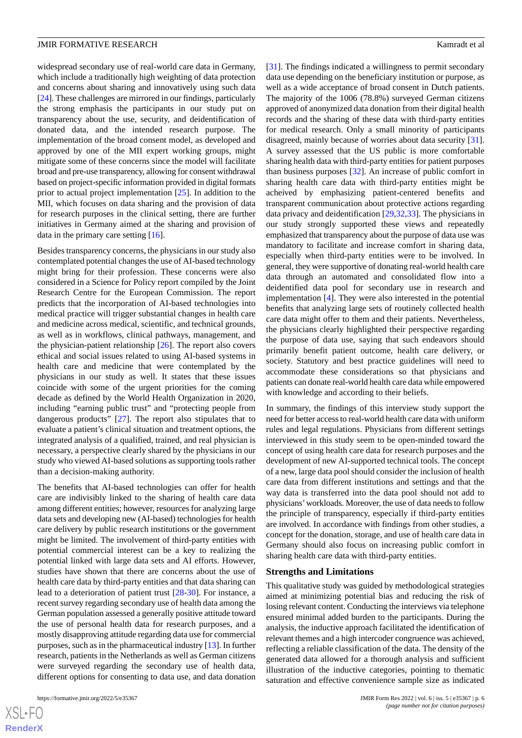widespread secondary use of real-world care data in Germany, which include a traditionally high weighting of data protection and concerns about sharing and innovatively using such data [[24\]](#page-7-15). These challenges are mirrored in our findings, particularly the strong emphasis the participants in our study put on transparency about the use, security, and deidentification of donated data, and the intended research purpose. The implementation of the broad consent model, as developed and approved by one of the MII expert working groups, might mitigate some of these concerns since the model will facilitate broad and pre-use transparency, allowing for consent withdrawal based on project-specific information provided in digital formats prior to actual project implementation [[25\]](#page-7-16). In addition to the MII, which focuses on data sharing and the provision of data for research purposes in the clinical setting, there are further initiatives in Germany aimed at the sharing and provision of data in the primary care setting [\[16](#page-7-7)].

Besides transparency concerns, the physicians in our study also contemplated potential changes the use of AI-based technology might bring for their profession. These concerns were also considered in a Science for Policy report compiled by the Joint Research Centre for the European Commission. The report predicts that the incorporation of AI-based technologies into medical practice will trigger substantial changes in health care and medicine across medical, scientific, and technical grounds, as well as in workflows, clinical pathways, management, and the physician-patient relationship [[26\]](#page-7-17). The report also covers ethical and social issues related to using AI-based systems in health care and medicine that were contemplated by the physicians in our study as well. It states that these issues coincide with some of the urgent priorities for the coming decade as defined by the World Health Organization in 2020, including "earning public trust" and "protecting people from dangerous products" [\[27](#page-7-18)]. The report also stipulates that to evaluate a patient's clinical situation and treatment options, the integrated analysis of a qualified, trained, and real physician is necessary, a perspective clearly shared by the physicians in our study who viewed AI-based solutions as supporting tools rather than a decision-making authority.

The benefits that AI-based technologies can offer for health care are indivisibly linked to the sharing of health care data among different entities; however, resources for analyzing large data sets and developing new (AI-based) technologies for health care delivery by public research institutions or the government might be limited. The involvement of third-party entities with potential commercial interest can be a key to realizing the potential linked with large data sets and AI efforts. However, studies have shown that there are concerns about the use of health care data by third-party entities and that data sharing can lead to a deterioration of patient trust [\[28](#page-7-19)[-30](#page-7-20)]. For instance, a recent survey regarding secondary use of health data among the German population assessed a generally positive attitude toward the use of personal health data for research purposes, and a mostly disapproving attitude regarding data use for commercial purposes, such as in the pharmaceutical industry [[13\]](#page-7-4). In further research, patients in the Netherlands as well as German citizens were surveyed regarding the secondary use of health data, different options for consenting to data use, and data donation

[[31\]](#page-7-21). The findings indicated a willingness to permit secondary data use depending on the beneficiary institution or purpose, as well as a wide acceptance of broad consent in Dutch patients. The majority of the 1006 (78.8%) surveyed German citizens approved of anonymized data donation from their digital health records and the sharing of these data with third-party entities for medical research. Only a small minority of participants disagreed, mainly because of worries about data security [[31\]](#page-7-21). A survey assessed that the US public is more comfortable sharing health data with third-party entities for patient purposes than business purposes [\[32](#page-8-0)]. An increase of public comfort in sharing health care data with third-party entities might be acheived by emphasizing patient-centered benefits and transparent communication about protective actions regarding data privacy and deidentification [\[29](#page-7-22),[32](#page-8-0)[,33](#page-8-1)]. The physicians in our study strongly supported these views and repeatedly emphasized that transparency about the purpose of data use was mandatory to facilitate and increase comfort in sharing data, especially when third-party entities were to be involved. In general, they were supportive of donating real-world health care data through an automated and consolidated flow into a deidentified data pool for secondary use in research and implementation [\[4\]](#page-6-3). They were also interested in the potential benefits that analyzing large sets of routinely collected health care data might offer to them and their patients. Nevertheless, the physicians clearly highlighted their perspective regarding the purpose of data use, saying that such endeavors should primarily benefit patient outcome, health care delivery, or society. Statutory and best practice guidelines will need to accommodate these considerations so that physicians and patients can donate real-world health care data while empowered with knowledge and according to their beliefs.

In summary, the findings of this interview study support the need for better access to real-world health care data with uniform rules and legal regulations. Physicians from different settings interviewed in this study seem to be open-minded toward the concept of using health care data for research purposes and the development of new AI-supported technical tools. The concept of a new, large data pool should consider the inclusion of health care data from different institutions and settings and that the way data is transferred into the data pool should not add to physicians'workloads. Moreover, the use of data needs to follow the principle of transparency, especially if third-party entities are involved. In accordance with findings from other studies, a concept for the donation, storage, and use of health care data in Germany should also focus on increasing public comfort in sharing health care data with third-party entities.

#### **Strengths and Limitations**

This qualitative study was guided by methodological strategies aimed at minimizing potential bias and reducing the risk of losing relevant content. Conducting the interviews via telephone ensured minimal added burden to the participants. During the analysis, the inductive approach facilitated the identification of relevant themes and a high intercoder congruence was achieved, reflecting a reliable classification of the data. The density of the generated data allowed for a thorough analysis and sufficient illustration of the inductive categories, pointing to thematic saturation and effective convenience sample size as indicated

 $XS$ -FO **[RenderX](http://www.renderx.com/)**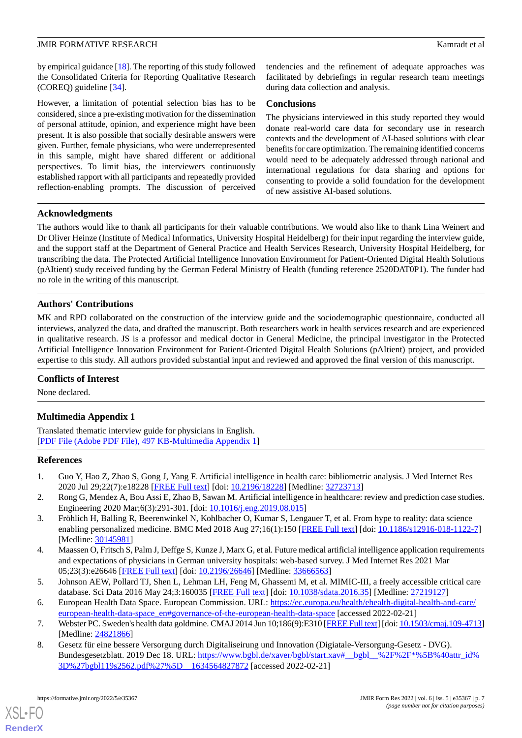by empirical guidance [\[18](#page-7-9)]. The reporting of this study followed the Consolidated Criteria for Reporting Qualitative Research (COREQ) guideline [[34\]](#page-8-2).

However, a limitation of potential selection bias has to be considered, since a pre-existing motivation for the dissemination of personal attitude, opinion, and experience might have been present. It is also possible that socially desirable answers were given. Further, female physicians, who were underrepresented in this sample, might have shared different or additional perspectives. To limit bias, the interviewers continuously established rapport with all participants and repeatedly provided reflection-enabling prompts. The discussion of perceived tendencies and the refinement of adequate approaches was facilitated by debriefings in regular research team meetings during data collection and analysis.

#### **Conclusions**

The physicians interviewed in this study reported they would donate real-world care data for secondary use in research contexts and the development of AI-based solutions with clear benefits for care optimization. The remaining identified concerns would need to be adequately addressed through national and international regulations for data sharing and options for consenting to provide a solid foundation for the development of new assistive AI-based solutions.

#### **Acknowledgments**

The authors would like to thank all participants for their valuable contributions. We would also like to thank Lina Weinert and Dr Oliver Heinze (Institute of Medical Informatics, University Hospital Heidelberg) for their input regarding the interview guide, and the support staff at the Department of General Practice and Health Services Research, University Hospital Heidelberg, for transcribing the data. The Protected Artificial Intelligence Innovation Environment for Patient-Oriented Digital Health Solutions (pAItient) study received funding by the German Federal Ministry of Health (funding reference 2520DAT0P1). The funder had no role in the writing of this manuscript.

#### **Authors' Contributions**

MK and RPD collaborated on the construction of the interview guide and the sociodemographic questionnaire, conducted all interviews, analyzed the data, and drafted the manuscript. Both researchers work in health services research and are experienced in qualitative research. JS is a professor and medical doctor in General Medicine, the principal investigator in the Protected Artificial Intelligence Innovation Environment for Patient-Oriented Digital Health Solutions (pAItient) project, and provided expertise to this study. All authors provided substantial input and reviewed and approved the final version of this manuscript.

#### <span id="page-6-8"></span>**Conflicts of Interest**

None declared.

#### **Multimedia Appendix 1**

<span id="page-6-0"></span>Translated thematic interview guide for physicians in English. [[PDF File \(Adobe PDF File\), 497 KB](https://jmir.org/api/download?alt_name=formative_v6i5e35367_app1.pdf&filename=3572cf1d915b8c1b09d586c73bd79a0b.pdf)-[Multimedia Appendix 1\]](https://jmir.org/api/download?alt_name=formative_v6i5e35367_app1.pdf&filename=3572cf1d915b8c1b09d586c73bd79a0b.pdf)

#### <span id="page-6-2"></span><span id="page-6-1"></span>**References**

- 1. Guo Y, Hao Z, Zhao S, Gong J, Yang F. Artificial intelligence in health care: bibliometric analysis. J Med Internet Res 2020 Jul 29;22(7):e18228 [[FREE Full text](https://www.jmir.org/2020/7/e18228/)] [doi: [10.2196/18228\]](http://dx.doi.org/10.2196/18228) [Medline: [32723713](http://www.ncbi.nlm.nih.gov/entrez/query.fcgi?cmd=Retrieve&db=PubMed&list_uids=32723713&dopt=Abstract)]
- <span id="page-6-3"></span>2. Rong G, Mendez A, Bou Assi E, Zhao B, Sawan M. Artificial intelligence in healthcare: review and prediction case studies. Engineering 2020 Mar;6(3):291-301. [doi: [10.1016/j.eng.2019.08.015](http://dx.doi.org/10.1016/j.eng.2019.08.015)]
- <span id="page-6-4"></span>3. Fröhlich H, Balling R, Beerenwinkel N, Kohlbacher O, Kumar S, Lengauer T, et al. From hype to reality: data science enabling personalized medicine. BMC Med 2018 Aug 27;16(1):150 [[FREE Full text](https://bmcmedicine.biomedcentral.com/articles/10.1186/s12916-018-1122-7)] [doi: [10.1186/s12916-018-1122-7\]](http://dx.doi.org/10.1186/s12916-018-1122-7) [Medline: [30145981](http://www.ncbi.nlm.nih.gov/entrez/query.fcgi?cmd=Retrieve&db=PubMed&list_uids=30145981&dopt=Abstract)]
- <span id="page-6-6"></span><span id="page-6-5"></span>4. Maassen O, Fritsch S, Palm J, Deffge S, Kunze J, Marx G, et al. Future medical artificial intelligence application requirements and expectations of physicians in German university hospitals: web-based survey. J Med Internet Res 2021 Mar 05;23(3):e26646 [\[FREE Full text](https://www.jmir.org/2021/3/e26646/)] [doi: [10.2196/26646\]](http://dx.doi.org/10.2196/26646) [Medline: [33666563\]](http://www.ncbi.nlm.nih.gov/entrez/query.fcgi?cmd=Retrieve&db=PubMed&list_uids=33666563&dopt=Abstract)
- <span id="page-6-7"></span>5. Johnson AEW, Pollard TJ, Shen L, Lehman LH, Feng M, Ghassemi M, et al. MIMIC-III, a freely accessible critical care database. Sci Data 2016 May 24;3:160035 [\[FREE Full text\]](https://doi.org/10.1038/sdata.2016.35) [doi: [10.1038/sdata.2016.35\]](http://dx.doi.org/10.1038/sdata.2016.35) [Medline: [27219127\]](http://www.ncbi.nlm.nih.gov/entrez/query.fcgi?cmd=Retrieve&db=PubMed&list_uids=27219127&dopt=Abstract)
- 6. European Health Data Space. European Commission. URL: [https://ec.europa.eu/health/ehealth-digital-health-and-care/](https://ec.europa.eu/health/ehealth-digital-health-and-care/european-health-data-space_en#governance-of-the-european-health-data-space) [european-health-data-space\\_en#governance-of-the-european-health-data-space](https://ec.europa.eu/health/ehealth-digital-health-and-care/european-health-data-space_en#governance-of-the-european-health-data-space) [accessed 2022-02-21]
- 7. Webster PC. Sweden's health data goldmine. CMAJ 2014 Jun 10;186(9):E310 [\[FREE Full text](http://www.cmaj.ca/cgi/pmidlookup?view=long&pmid=24821866)] [doi: [10.1503/cmaj.109-4713\]](http://dx.doi.org/10.1503/cmaj.109-4713) [Medline: [24821866](http://www.ncbi.nlm.nih.gov/entrez/query.fcgi?cmd=Retrieve&db=PubMed&list_uids=24821866&dopt=Abstract)]
- 8. Gesetz für eine bessere Versorgung durch Digitaliseirung und Innovation (Digiatale-Versorgung-Gesetz DVG). Bundesgesetzblatt. 2019 Dec 18. URL: https://www.bgbl.de/xaver/bgbl/start.xav# bgbl %2F%2F\*%5B%40attr\_id% [3D%27bgbl119s2562.pdf%27%5D\\_\\_1634564827872](https://www.bgbl.de/xaver/bgbl/start.xav#__bgbl__%2F%2F*%5B%40attr_id%3D%27bgbl119s2562.pdf%27%5D__1634564827872) [accessed 2022-02-21]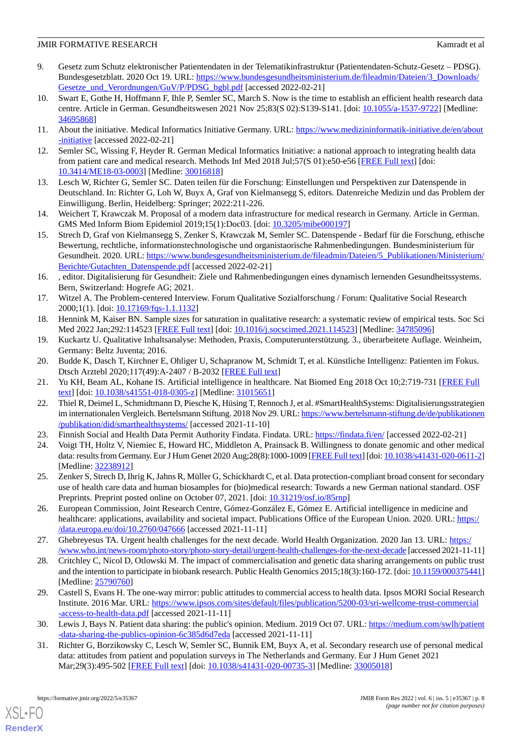- <span id="page-7-0"></span>9. Gesetz zum Schutz elektronischer Patientendaten in der Telematikinfrastruktur (Patientendaten-Schutz-Gesetz – PDSG). Bundesgesetzblatt. 2020 Oct 19. URL: [https://www.bundesgesundheitsministerium.de/fileadmin/Dateien/3\\_Downloads/](https://www.bundesgesundheitsministerium.de/fileadmin/Dateien/3_Downloads/Gesetze_und_Verordnungen/GuV/P/PDSG_bgbl.pdf) [Gesetze\\_und\\_Verordnungen/GuV/P/PDSG\\_bgbl.pdf](https://www.bundesgesundheitsministerium.de/fileadmin/Dateien/3_Downloads/Gesetze_und_Verordnungen/GuV/P/PDSG_bgbl.pdf) [accessed 2022-02-21]
- <span id="page-7-1"></span>10. Swart E, Gothe H, Hoffmann F, Ihle P, Semler SC, March S. Now is the time to establish an efficient health research data centre. Article in German. Gesundheitswesen 2021 Nov 25;83(S 02):S139-S141. [doi: [10.1055/a-1537-9722](http://dx.doi.org/10.1055/a-1537-9722)] [Medline: [34695868](http://www.ncbi.nlm.nih.gov/entrez/query.fcgi?cmd=Retrieve&db=PubMed&list_uids=34695868&dopt=Abstract)]
- <span id="page-7-3"></span><span id="page-7-2"></span>11. About the initiative. Medical Informatics Initiative Germany. URL: [https://www.medizininformatik-initiative.de/en/about](https://www.medizininformatik-initiative.de/en/about-initiative) [-initiative](https://www.medizininformatik-initiative.de/en/about-initiative) [accessed 2022-02-21]
- <span id="page-7-4"></span>12. Semler SC, Wissing F, Heyder R. German Medical Informatics Initiative: a national approach to integrating health data from patient care and medical research. Methods Inf Med 2018 Jul;57(S 01):e50-e56 [[FREE Full text](http://www.thieme-connect.com/DOI/DOI?10.3414/ME18-03-0003)] [doi: [10.3414/ME18-03-0003\]](http://dx.doi.org/10.3414/ME18-03-0003) [Medline: [30016818](http://www.ncbi.nlm.nih.gov/entrez/query.fcgi?cmd=Retrieve&db=PubMed&list_uids=30016818&dopt=Abstract)]
- <span id="page-7-5"></span>13. Lesch W, Richter G, Semler SC. Daten teilen für die Forschung: Einstellungen und Perspektiven zur Datenspende in Deutschland. In: Richter G, Loh W, Buyx A, Graf von Kielmansegg S, editors. Datenreiche Medizin und das Problem der Einwilligung. Berlin, Heidelberg: Springer; 2022:211-226.
- <span id="page-7-6"></span>14. Weichert T, Krawczak M. Proposal of a modern data infrastructure for medical research in Germany. Article in German. GMS Med Inform Biom Epidemiol 2019;15(1):Doc03. [doi: [10.3205/mibe000197](http://dx.doi.org/10.3205/mibe000197)]
- <span id="page-7-7"></span>15. Strech D, Graf von Kielmansegg S, Zenker S, Krawczak M, Semler SC. Datenspende - Bedarf für die Forschung, ethische Bewertung, rechtliche, informationstechnologische und organistaorische Rahmenbedingungen. Bundesministerium für Gesundheit. 2020. URL: [https://www.bundesgesundheitsministerium.de/fileadmin/Dateien/5\\_Publikationen/Ministerium/](https://www.bundesgesundheitsministerium.de/fileadmin/Dateien/5_Publikationen/Ministerium/Berichte/Gutachten_Datenspende.pdf) [Berichte/Gutachten\\_Datenspende.pdf](https://www.bundesgesundheitsministerium.de/fileadmin/Dateien/5_Publikationen/Ministerium/Berichte/Gutachten_Datenspende.pdf) [accessed 2022-02-21]
- <span id="page-7-8"></span>16. , editor. Digitalisierung für Gesundheit: Ziele und Rahmenbedingungen eines dynamisch lernenden Gesundheitssystems. Bern, Switzerland: Hogrefe AG; 2021.
- <span id="page-7-10"></span><span id="page-7-9"></span>17. Witzel A. The Problem-centered Interview. Forum Qualitative Sozialforschung / Forum: Qualitative Social Research 2000;1(1). [doi: [10.17169/fqs-1.1.1132](http://dx.doi.org/10.17169/fqs-1.1.1132)]
- <span id="page-7-11"></span>18. Hennink M, Kaiser BN. Sample sizes for saturation in qualitative research: a systematic review of empirical tests. Soc Sci Med 2022 Jan;292:114523 [[FREE Full text\]](https://linkinghub.elsevier.com/retrieve/pii/S0277-9536(21)00855-8) [doi: [10.1016/j.socscimed.2021.114523](http://dx.doi.org/10.1016/j.socscimed.2021.114523)] [Medline: [34785096](http://www.ncbi.nlm.nih.gov/entrez/query.fcgi?cmd=Retrieve&db=PubMed&list_uids=34785096&dopt=Abstract)]
- <span id="page-7-12"></span>19. Kuckartz U. Qualitative Inhaltsanalyse: Methoden, Praxis, Computerunterstützung. 3., überarbeitete Auflage. Weinheim, Germany: Beltz Juventa; 2016.
- <span id="page-7-13"></span>20. Budde K, Dasch T, Kirchner E, Ohliger U, Schapranow M, Schmidt T, et al. Künstliche Intelligenz: Patienten im Fokus. Dtsch Arztebl 2020;117(49):A-2407 / B-2032 [\[FREE Full text\]](https://www.aerzteblatt.de/archiv/216998/Kuenstliche-Intelligenz-Patienten-im-Fokus)
- <span id="page-7-14"></span>21. Yu KH, Beam AL, Kohane IS. Artificial intelligence in healthcare. Nat Biomed Eng 2018 Oct 10;2:719-731 [\[FREE Full](https://doi.org/10.1038/s41551-018-0305-z) [text](https://doi.org/10.1038/s41551-018-0305-z)] [doi: [10.1038/s41551-018-0305-z](http://dx.doi.org/10.1038/s41551-018-0305-z)] [Medline: [31015651\]](http://www.ncbi.nlm.nih.gov/entrez/query.fcgi?cmd=Retrieve&db=PubMed&list_uids=31015651&dopt=Abstract)
- <span id="page-7-15"></span>22. Thiel R, Deimel L, Schmidtmann D, Piesche K, Hüsing T, Rennoch J, et al. #SmartHealthSystems: Digitalisierungsstrategien im internationalen Vergleich. Bertelsmann Stiftung. 2018 Nov 29. URL: [https://www.bertelsmann-stiftung.de/de/publikationen](https://www.bertelsmann-stiftung.de/de/publikationen/publikation/did/smarthealthsystems/) [/publikation/did/smarthealthsystems/](https://www.bertelsmann-stiftung.de/de/publikationen/publikation/did/smarthealthsystems/) [accessed 2021-11-10]
- <span id="page-7-16"></span>23. Finnish Social and Health Data Permit Authority Findata. Findata. URL: <https://findata.fi/en/> [accessed 2022-02-21]
- <span id="page-7-17"></span>24. Voigt TH, Holtz V, Niemiec E, Howard HC, Middleton A, Prainsack B. Willingness to donate genomic and other medical data: results from Germany. Eur J Hum Genet 2020 Aug;28(8):1000-1009 [\[FREE Full text](http://europepmc.org/abstract/MED/32238912)] [doi: [10.1038/s41431-020-0611-2\]](http://dx.doi.org/10.1038/s41431-020-0611-2) [Medline: [32238912](http://www.ncbi.nlm.nih.gov/entrez/query.fcgi?cmd=Retrieve&db=PubMed&list_uids=32238912&dopt=Abstract)]
- <span id="page-7-18"></span>25. Zenker S, Strech D, Ihrig K, Jahns R, Müller G, Schickhardt C, et al. Data protection-compliant broad consent for secondary use of health care data and human biosamples for (bio)medical research: Towards a new German national standard. OSF Preprints. Preprint posted online on October 07, 2021. [doi:  $10.31219/\text{osf.io}/85\text{rnp}$ ]
- <span id="page-7-19"></span>26. European Commission, Joint Research Centre, Gómez-González E, Gómez E. Artificial intelligence in medicine and healthcare: applications, availability and societal impact. Publications Office of the European Union. 2020. URL: [https:/](https://data.europa.eu/doi/10.2760/047666) [/data.europa.eu/doi/10.2760/047666](https://data.europa.eu/doi/10.2760/047666) [accessed 2021-11-11]
- <span id="page-7-22"></span>27. Ghebreyesus TA. Urgent health challenges for the next decade. World Health Organization. 2020 Jan 13. URL: [https:/](https://www.who.int/news-room/photo-story/photo-story-detail/urgent-health-challenges-for-the-next-decade) [/www.who.int/news-room/photo-story/photo-story-detail/urgent-health-challenges-for-the-next-decade](https://www.who.int/news-room/photo-story/photo-story-detail/urgent-health-challenges-for-the-next-decade) [accessed 2021-11-11]
- <span id="page-7-20"></span>28. Critchley C, Nicol D, Otlowski M. The impact of commercialisation and genetic data sharing arrangements on public trust and the intention to participate in biobank research. Public Health Genomics 2015;18(3):160-172. [doi: [10.1159/000375441\]](http://dx.doi.org/10.1159/000375441) [Medline: [25790760](http://www.ncbi.nlm.nih.gov/entrez/query.fcgi?cmd=Retrieve&db=PubMed&list_uids=25790760&dopt=Abstract)]
- <span id="page-7-21"></span>29. Castell S, Evans H. The one-way mirror: public attitudes to commercial access to health data. Ipsos MORI Social Research Institute. 2016 Mar. URL: [https://www.ipsos.com/sites/default/files/publication/5200-03/sri-wellcome-trust-commercial](https://www.ipsos.com/sites/default/files/publication/5200-03/sri-wellcome-trust-commercial-access-to-health-data.pdf) [-access-to-health-data.pdf](https://www.ipsos.com/sites/default/files/publication/5200-03/sri-wellcome-trust-commercial-access-to-health-data.pdf) [accessed 2021-11-11]
- 30. Lewis J, Bays N. Patient data sharing: the public's opinion. Medium. 2019 Oct 07. URL: [https://medium.com/swlh/patient](https://medium.com/swlh/patient-data-sharing-the-publics-opinion-6c385d6d7eda) [-data-sharing-the-publics-opinion-6c385d6d7eda](https://medium.com/swlh/patient-data-sharing-the-publics-opinion-6c385d6d7eda) [accessed 2021-11-11]
- 31. Richter G, Borzikowsky C, Lesch W, Semler SC, Bunnik EM, Buyx A, et al. Secondary research use of personal medical data: attitudes from patient and population surveys in The Netherlands and Germany. Eur J Hum Genet 2021 Mar;29(3):495-502 [[FREE Full text\]](http://europepmc.org/abstract/MED/33005018) [doi: [10.1038/s41431-020-00735-3](http://dx.doi.org/10.1038/s41431-020-00735-3)] [Medline: [33005018](http://www.ncbi.nlm.nih.gov/entrez/query.fcgi?cmd=Retrieve&db=PubMed&list_uids=33005018&dopt=Abstract)]